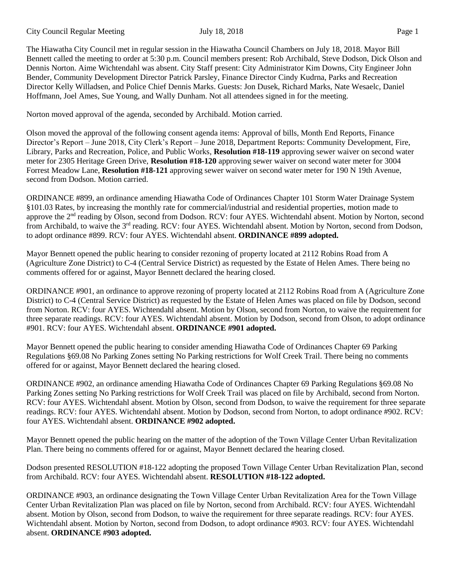City Council Regular Meeting July 18, 2018 Page 1

The Hiawatha City Council met in regular session in the Hiawatha Council Chambers on July 18, 2018. Mayor Bill Bennett called the meeting to order at 5:30 p.m. Council members present: Rob Archibald, Steve Dodson, Dick Olson and Dennis Norton. Aime Wichtendahl was absent. City Staff present: City Administrator Kim Downs, City Engineer John Bender, Community Development Director Patrick Parsley, Finance Director Cindy Kudrna, Parks and Recreation Director Kelly Willadsen, and Police Chief Dennis Marks. Guests: Jon Dusek, Richard Marks, Nate Wesaelc, Daniel Hoffmann, Joel Ames, Sue Young, and Wally Dunham. Not all attendees signed in for the meeting.

Norton moved approval of the agenda, seconded by Archibald. Motion carried.

Olson moved the approval of the following consent agenda items: Approval of bills, Month End Reports, Finance Director's Report – June 2018, City Clerk's Report – June 2018, Department Reports: Community Development, Fire, Library, Parks and Recreation, Police, and Public Works, **Resolution #18-119** approving sewer waiver on second water meter for 2305 Heritage Green Drive, **Resolution #18-120** approving sewer waiver on second water meter for 3004 Forrest Meadow Lane, **Resolution #18-121** approving sewer waiver on second water meter for 190 N 19th Avenue, second from Dodson. Motion carried.

ORDINANCE #899, an ordinance amending Hiawatha Code of Ordinances Chapter 101 Storm Water Drainage System §101.03 Rates, by increasing the monthly rate for commercial/industrial and residential properties, motion made to approve the 2<sup>nd</sup> reading by Olson, second from Dodson. RCV: four AYES. Wichtendahl absent. Motion by Norton, second from Archibald, to waive the 3<sup>rd</sup> reading. RCV: four AYES. Wichtendahl absent. Motion by Norton, second from Dodson, to adopt ordinance #899. RCV: four AYES. Wichtendahl absent. **ORDINANCE #899 adopted.**

Mayor Bennett opened the public hearing to consider rezoning of property located at 2112 Robins Road from A (Agriculture Zone District) to C-4 (Central Service District) as requested by the Estate of Helen Ames. There being no comments offered for or against, Mayor Bennett declared the hearing closed.

ORDINANCE #901, an ordinance to approve rezoning of property located at 2112 Robins Road from A (Agriculture Zone District) to C-4 (Central Service District) as requested by the Estate of Helen Ames was placed on file by Dodson, second from Norton. RCV: four AYES. Wichtendahl absent. Motion by Olson, second from Norton, to waive the requirement for three separate readings. RCV: four AYES. Wichtendahl absent. Motion by Dodson, second from Olson, to adopt ordinance #901. RCV: four AYES. Wichtendahl absent. **ORDINANCE #901 adopted.**

Mayor Bennett opened the public hearing to consider amending Hiawatha Code of Ordinances Chapter 69 Parking Regulations §69.08 No Parking Zones setting No Parking restrictions for Wolf Creek Trail. There being no comments offered for or against, Mayor Bennett declared the hearing closed.

ORDINANCE #902, an ordinance amending Hiawatha Code of Ordinances Chapter 69 Parking Regulations §69.08 No Parking Zones setting No Parking restrictions for Wolf Creek Trail was placed on file by Archibald, second from Norton. RCV: four AYES. Wichtendahl absent. Motion by Olson, second from Dodson, to waive the requirement for three separate readings. RCV: four AYES. Wichtendahl absent. Motion by Dodson, second from Norton, to adopt ordinance #902. RCV: four AYES. Wichtendahl absent. **ORDINANCE #902 adopted.**

Mayor Bennett opened the public hearing on the matter of the adoption of the Town Village Center Urban Revitalization Plan. There being no comments offered for or against, Mayor Bennett declared the hearing closed.

Dodson presented RESOLUTION #18-122 adopting the proposed Town Village Center Urban Revitalization Plan, second from Archibald. RCV: four AYES. Wichtendahl absent. **RESOLUTION #18-122 adopted.** 

ORDINANCE #903, an ordinance designating the Town Village Center Urban Revitalization Area for the Town Village Center Urban Revitalization Plan was placed on file by Norton, second from Archibald. RCV: four AYES. Wichtendahl absent. Motion by Olson, second from Dodson, to waive the requirement for three separate readings. RCV: four AYES. Wichtendahl absent. Motion by Norton, second from Dodson, to adopt ordinance #903. RCV: four AYES. Wichtendahl absent. **ORDINANCE #903 adopted.**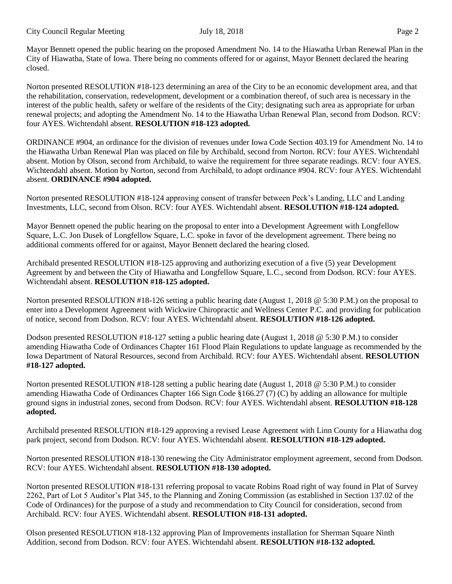Mayor Bennett opened the public hearing on the proposed Amendment No. 14 to the Hiawatha Urban Renewal Plan in the City of Hiawatha, State of Iowa. There being no comments offered for or against, Mayor Bennett declared the hearing closed.

Norton presented RESOLUTION #18-123 determining an area of the City to be an economic development area, and that the rehabilitation, conservation, redevelopment, development or a combination thereof, of such area is necessary in the interest of the public health, safety or welfare of the residents of the City; designating such area as appropriate for urban renewal projects; and adopting the Amendment No. 14 to the Hiawatha Urban Renewal Plan, second from Dodson. RCV: four AYES. Wichtendahl absent. **RESOLUTION #18-123 adopted.**

ORDINANCE #904, an ordinance for the division of revenues under Iowa Code Section 403.19 for Amendment No. 14 to the Hiawatha Urban Renewal Plan was placed on file by Archibald, second from Norton. RCV: four AYES. Wichtendahl absent. Motion by Olson, second from Archibald, to waive the requirement for three separate readings. RCV: four AYES. Wichtendahl absent. Motion by Norton, second from Archibald, to adopt ordinance #904. RCV: four AYES. Wichtendahl absent. **ORDINANCE #904 adopted.**

Norton presented RESOLUTION #18-124 approving consent of transfer between Peck's Landing, LLC and Landing Investments, LLC, second from Olson. RCV: four AYES. Wichtendahl absent. **RESOLUTION #18-124 adopted.**

Mayor Bennett opened the public hearing on the proposal to enter into a Development Agreement with Longfellow Square, L.C. Jon Dusek of Longfellow Square, L.C. spoke in favor of the development agreement. There being no additional comments offered for or against, Mayor Bennett declared the hearing closed.

Archibald presented RESOLUTION #18-125 approving and authorizing execution of a five (5) year Development Agreement by and between the City of Hiawatha and Longfellow Square, L.C., second from Dodson. RCV: four AYES. Wichtendahl absent. **RESOLUTION #18-125 adopted.**

Norton presented RESOLUTION #18-126 setting a public hearing date (August 1, 2018 @ 5:30 P.M.) on the proposal to enter into a Development Agreement with Wickwire Chiropractic and Wellness Center P.C. and providing for publication of notice, second from Dodson. RCV: four AYES. Wichtendahl absent. **RESOLUTION #18-126 adopted.**

Dodson presented RESOLUTION #18-127 setting a public hearing date (August 1, 2018 @ 5:30 P.M.) to consider amending Hiawatha Code of Ordinances Chapter 161 Flood Plain Regulations to update language as recommended by the Iowa Department of Natural Resources, second from Archibald. RCV: four AYES. Wichtendahl absent. **RESOLUTION #18-127 adopted.**

Norton presented RESOLUTION #18-128 setting a public hearing date (August 1, 2018 @ 5:30 P.M.) to consider amending Hiawatha Code of Ordinances Chapter 166 Sign Code §166.27 (7) (C) by adding an allowance for multiple ground signs in industrial zones, second from Dodson. RCV: four AYES. Wichtendahl absent. **RESOLUTION #18-128 adopted.**

Archibald presented RESOLUTION #18-129 approving a revised Lease Agreement with Linn County for a Hiawatha dog park project, second from Dodson. RCV: four AYES. Wichtendahl absent. **RESOLUTION #18-129 adopted.**

Norton presented RESOLUTION #18-130 renewing the City Administrator employment agreement, second from Dodson. RCV: four AYES. Wichtendahl absent. **RESOLUTION #18-130 adopted.**

Norton presented RESOLUTION #18-131 referring proposal to vacate Robins Road right of way found in Plat of Survey 2262, Part of Lot 5 Auditor's Plat 345, to the Planning and Zoning Commission (as established in Section 137.02 of the Code of Ordinances) for the purpose of a study and recommendation to City Council for consideration, second from Archibald. RCV: four AYES. Wichtendahl absent. **RESOLUTION #18-131 adopted.**

Olson presented RESOLUTION #18-132 approving Plan of Improvements installation for Sherman Square Ninth Addition, second from Dodson. RCV: four AYES. Wichtendahl absent. **RESOLUTION #18-132 adopted.**